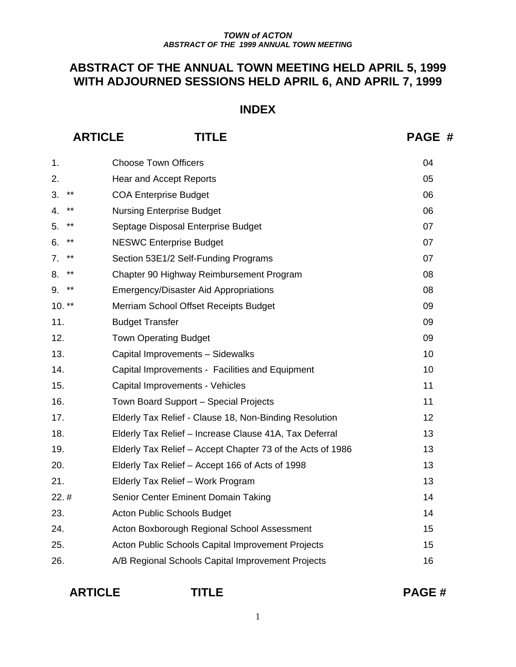# **ABSTRACT OF THE ANNUAL TOWN MEETING HELD APRIL 5, 1999 WITH ADJOURNED SESSIONS HELD APRIL 6, AND APRIL 7, 1999**

# **INDEX**

**ARTICLE TITLE PAGE #** 

| 1.          | <b>Choose Town Officers</b>                                | 04 |
|-------------|------------------------------------------------------------|----|
| 2.          | Hear and Accept Reports                                    | 05 |
| $***$<br>3. | <b>COA Enterprise Budget</b>                               | 06 |
| $***$<br>4. | <b>Nursing Enterprise Budget</b>                           | 06 |
| $***$<br>5. | Septage Disposal Enterprise Budget                         | 07 |
| $***$<br>6. | <b>NESWC Enterprise Budget</b>                             | 07 |
| $***$<br>7. | Section 53E1/2 Self-Funding Programs                       | 07 |
| $***$<br>8. | Chapter 90 Highway Reimbursement Program                   | 08 |
| $***$<br>9. | <b>Emergency/Disaster Aid Appropriations</b>               | 08 |
| $10.***$    | Merriam School Offset Receipts Budget                      | 09 |
| 11.         | <b>Budget Transfer</b>                                     | 09 |
| 12.         | <b>Town Operating Budget</b>                               | 09 |
| 13.         | Capital Improvements - Sidewalks                           | 10 |
| 14.         | Capital Improvements - Facilities and Equipment            | 10 |
| 15.         | Capital Improvements - Vehicles                            | 11 |
| 16.         | Town Board Support - Special Projects                      | 11 |
| 17.         | Elderly Tax Relief - Clause 18, Non-Binding Resolution     | 12 |
| 18.         | Elderly Tax Relief - Increase Clause 41A, Tax Deferral     | 13 |
| 19.         | Elderly Tax Relief – Accept Chapter 73 of the Acts of 1986 | 13 |
| 20.         | Elderly Tax Relief - Accept 166 of Acts of 1998            | 13 |
| 21.         | Elderly Tax Relief - Work Program                          | 13 |
| 22.#        | Senior Center Eminent Domain Taking                        | 14 |
| 23.         | <b>Acton Public Schools Budget</b>                         | 14 |
| 24.         | Acton Boxborough Regional School Assessment                | 15 |
| 25.         | Acton Public Schools Capital Improvement Projects          | 15 |
| 26.         | A/B Regional Schools Capital Improvement Projects          | 16 |

| <b>ARTICLE</b> |  |
|----------------|--|
|                |  |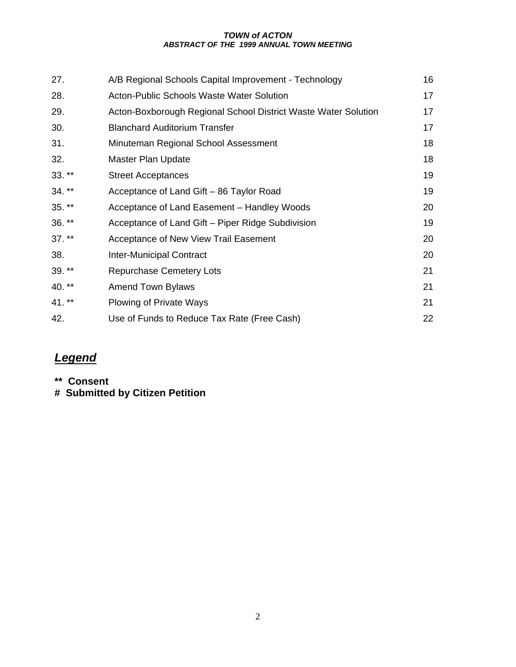| 27.      | A/B Regional Schools Capital Improvement - Technology          | 16 |
|----------|----------------------------------------------------------------|----|
| 28.      | <b>Acton-Public Schools Waste Water Solution</b>               | 17 |
| 29.      | Acton-Boxborough Regional School District Waste Water Solution | 17 |
| 30.      | <b>Blanchard Auditorium Transfer</b>                           | 17 |
| 31.      | Minuteman Regional School Assessment                           | 18 |
| 32.      | <b>Master Plan Update</b>                                      | 18 |
| $33.**$  | <b>Street Acceptances</b>                                      | 19 |
| $34.***$ | Acceptance of Land Gift - 86 Taylor Road                       | 19 |
| $35.**$  | Acceptance of Land Easement - Handley Woods                    | 20 |
| $36.***$ | Acceptance of Land Gift – Piper Ridge Subdivision              | 19 |
| $37.***$ | Acceptance of New View Trail Easement                          | 20 |
| 38.      | <b>Inter-Municipal Contract</b>                                | 20 |
| $39.**$  | <b>Repurchase Cemetery Lots</b>                                | 21 |
| $40.***$ | <b>Amend Town Bylaws</b>                                       | 21 |
| 41. **   | Plowing of Private Ways                                        | 21 |
| 42.      | Use of Funds to Reduce Tax Rate (Free Cash)                    | 22 |

# *Legend*

**\*\* Consent** 

**# Submitted by Citizen Petition**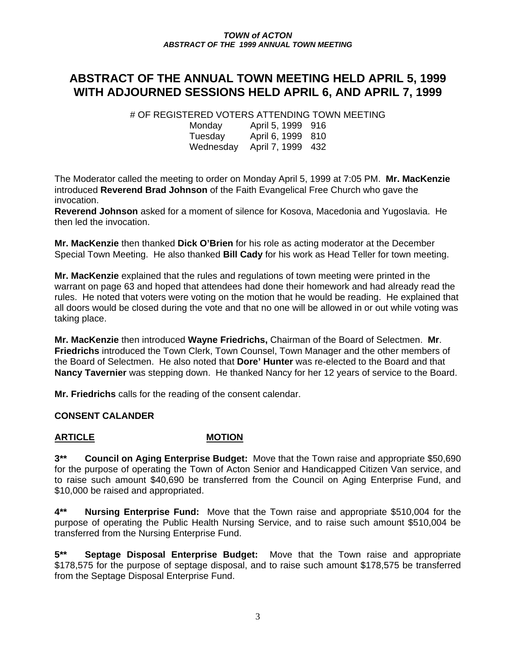# **ABSTRACT OF THE ANNUAL TOWN MEETING HELD APRIL 5, 1999 WITH ADJOURNED SESSIONS HELD APRIL 6, AND APRIL 7, 1999**

# OF REGISTERED VOTERS ATTENDING TOWN MEETING

| Monday    | April 5, 1999 916 |  |
|-----------|-------------------|--|
| Tuesday   | April 6, 1999 810 |  |
| Wednesday | April 7, 1999 432 |  |

The Moderator called the meeting to order on Monday April 5, 1999 at 7:05 PM. **Mr. MacKenzie** introduced **Reverend Brad Johnson** of the Faith Evangelical Free Church who gave the invocation.

**Reverend Johnson** asked for a moment of silence for Kosova, Macedonia and Yugoslavia. He then led the invocation.

**Mr. MacKenzie** then thanked **Dick O'Brien** for his role as acting moderator at the December Special Town Meeting. He also thanked **Bill Cady** for his work as Head Teller for town meeting.

**Mr. MacKenzie** explained that the rules and regulations of town meeting were printed in the warrant on page 63 and hoped that attendees had done their homework and had already read the rules. He noted that voters were voting on the motion that he would be reading. He explained that all doors would be closed during the vote and that no one will be allowed in or out while voting was taking place.

**Mr. MacKenzie** then introduced **Wayne Friedrichs,** Chairman of the Board of Selectmen. **Mr**. **Friedrichs** introduced the Town Clerk, Town Counsel, Town Manager and the other members of the Board of Selectmen. He also noted that **Dore' Hunter** was re-elected to the Board and that **Nancy Tavernier** was stepping down. He thanked Nancy for her 12 years of service to the Board.

**Mr. Friedrichs** calls for the reading of the consent calendar.

## **CONSENT CALANDER**

## ARTICLE **MOTION**

**3\*\* Council on Aging Enterprise Budget:** Move that the Town raise and appropriate \$50,690 for the purpose of operating the Town of Acton Senior and Handicapped Citizen Van service, and to raise such amount \$40,690 be transferred from the Council on Aging Enterprise Fund, and \$10,000 be raised and appropriated.

**4\*\* Nursing Enterprise Fund:** Move that the Town raise and appropriate \$510,004 for the purpose of operating the Public Health Nursing Service, and to raise such amount \$510,004 be transferred from the Nursing Enterprise Fund.

**5\*\* Septage Disposal Enterprise Budget:** Move that the Town raise and appropriate \$178,575 for the purpose of septage disposal, and to raise such amount \$178,575 be transferred from the Septage Disposal Enterprise Fund.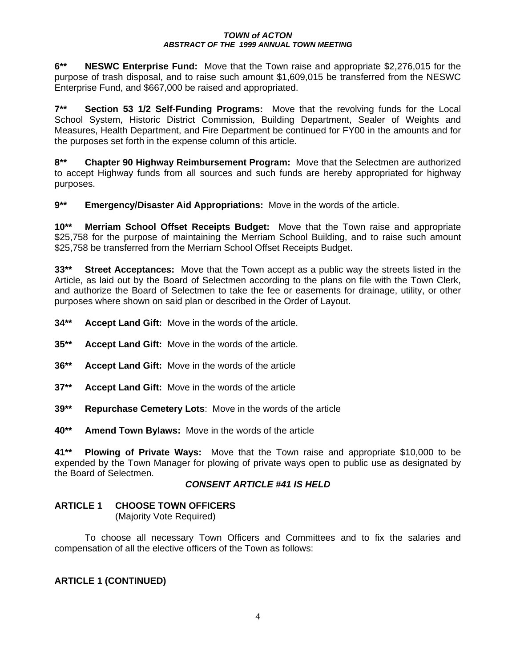**6\*\* NESWC Enterprise Fund:** Move that the Town raise and appropriate \$2,276,015 for the purpose of trash disposal, and to raise such amount \$1,609,015 be transferred from the NESWC Enterprise Fund, and \$667,000 be raised and appropriated.

**7\*\* Section 53 1/2 Self-Funding Programs:** Move that the revolving funds for the Local School System, Historic District Commission, Building Department, Sealer of Weights and Measures, Health Department, and Fire Department be continued for FY00 in the amounts and for the purposes set forth in the expense column of this article.

**8\*\* Chapter 90 Highway Reimbursement Program:** Move that the Selectmen are authorized to accept Highway funds from all sources and such funds are hereby appropriated for highway purposes.

**9\*\* Emergency/Disaster Aid Appropriations:** Move in the words of the article.

**10\*\* Merriam School Offset Receipts Budget:** Move that the Town raise and appropriate \$25,758 for the purpose of maintaining the Merriam School Building, and to raise such amount \$25,758 be transferred from the Merriam School Offset Receipts Budget.

**33\*\* Street Acceptances:** Move that the Town accept as a public way the streets listed in the Article, as laid out by the Board of Selectmen according to the plans on file with the Town Clerk, and authorize the Board of Selectmen to take the fee or easements for drainage, utility, or other purposes where shown on said plan or described in the Order of Layout.

- **34\*\* Accept Land Gift:** Move in the words of the article.
- **35\*\* Accept Land Gift:** Move in the words of the article.
- **36\*\* Accept Land Gift:** Move in the words of the article
- **37\*\* Accept Land Gift:** Move in the words of the article
- **39\*\* Repurchase Cemetery Lots**: Move in the words of the article
- **40\*\* Amend Town Bylaws:** Move in the words of the article

**41\*\* Plowing of Private Ways:** Move that the Town raise and appropriate \$10,000 to be expended by the Town Manager for plowing of private ways open to public use as designated by the Board of Selectmen.

## *CONSENT ARTICLE #41 IS HELD*

## **ARTICLE 1 CHOOSE TOWN OFFICERS**

(Majority Vote Required)

To choose all necessary Town Officers and Committees and to fix the salaries and compensation of all the elective officers of the Town as follows:

## **ARTICLE 1 (CONTINUED)**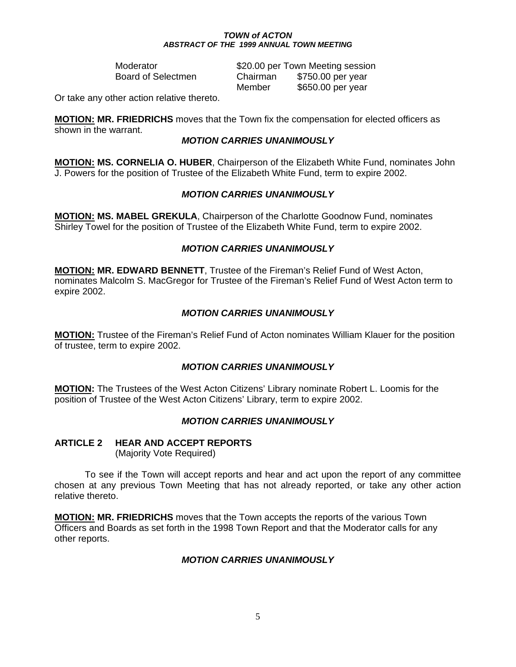Moderator **\$20.00 per Town Meeting session**  Board of Selectmen Chairman \$750.00 per year Member \$650.00 per year

Or take any other action relative thereto.

**MOTION: MR. FRIEDRICHS** moves that the Town fix the compensation for elected officers as shown in the warrant.

#### *MOTION CARRIES UNANIMOUSLY*

**MOTION: MS. CORNELIA O. HUBER**, Chairperson of the Elizabeth White Fund, nominates John J. Powers for the position of Trustee of the Elizabeth White Fund, term to expire 2002.

## *MOTION CARRIES UNANIMOUSLY*

**MOTION: MS. MABEL GREKULA**, Chairperson of the Charlotte Goodnow Fund, nominates Shirley Towel for the position of Trustee of the Elizabeth White Fund, term to expire 2002.

#### *MOTION CARRIES UNANIMOUSLY*

**MOTION: MR. EDWARD BENNETT**, Trustee of the Fireman's Relief Fund of West Acton, nominates Malcolm S. MacGregor for Trustee of the Fireman's Relief Fund of West Acton term to expire 2002.

## *MOTION CARRIES UNANIMOUSLY*

**MOTION:** Trustee of the Fireman's Relief Fund of Acton nominates William Klauer for the position of trustee, term to expire 2002.

## *MOTION CARRIES UNANIMOUSLY*

**MOTION:** The Trustees of the West Acton Citizens' Library nominate Robert L. Loomis for the position of Trustee of the West Acton Citizens' Library, term to expire 2002.

## *MOTION CARRIES UNANIMOUSLY*

#### **ARTICLE 2 HEAR AND ACCEPT REPORTS** (Majority Vote Required)

 To see if the Town will accept reports and hear and act upon the report of any committee chosen at any previous Town Meeting that has not already reported, or take any other action relative thereto.

**MOTION: MR. FRIEDRICHS** moves that the Town accepts the reports of the various Town Officers and Boards as set forth in the 1998 Town Report and that the Moderator calls for any other reports.

## *MOTION CARRIES UNANIMOUSLY*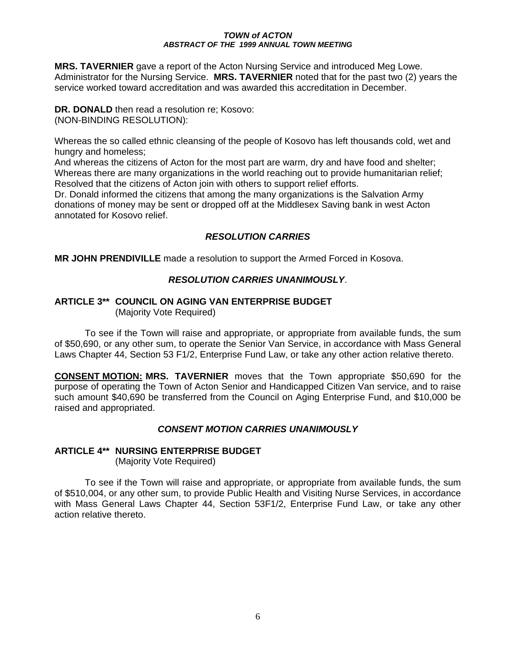**MRS. TAVERNIER** gave a report of the Acton Nursing Service and introduced Meg Lowe. Administrator for the Nursing Service. **MRS. TAVERNIER** noted that for the past two (2) years the service worked toward accreditation and was awarded this accreditation in December.

**DR. DONALD** then read a resolution re; Kosovo: (NON-BINDING RESOLUTION):

Whereas the so called ethnic cleansing of the people of Kosovo has left thousands cold, wet and hungry and homeless;

And whereas the citizens of Acton for the most part are warm, dry and have food and shelter; Whereas there are many organizations in the world reaching out to provide humanitarian relief; Resolved that the citizens of Acton join with others to support relief efforts.

Dr. Donald informed the citizens that among the many organizations is the Salvation Army donations of money may be sent or dropped off at the Middlesex Saving bank in west Acton annotated for Kosovo relief.

## *RESOLUTION CARRIES*

**MR JOHN PRENDIVILLE** made a resolution to support the Armed Forced in Kosova.

## *RESOLUTION CARRIES UNANIMOUSLY*.

#### **ARTICLE 3\*\* COUNCIL ON AGING VAN ENTERPRISE BUDGET** (Majority Vote Required)

 To see if the Town will raise and appropriate, or appropriate from available funds, the sum of \$50,690, or any other sum, to operate the Senior Van Service, in accordance with Mass General Laws Chapter 44, Section 53 F1/2, Enterprise Fund Law, or take any other action relative thereto.

**CONSENT MOTION: MRS. TAVERNIER** moves that the Town appropriate \$50,690 for the purpose of operating the Town of Acton Senior and Handicapped Citizen Van service, and to raise such amount \$40,690 be transferred from the Council on Aging Enterprise Fund, and \$10,000 be raised and appropriated.

## *CONSENT MOTION CARRIES UNANIMOUSLY*

## **ARTICLE 4\*\* NURSING ENTERPRISE BUDGET**

(Majority Vote Required)

 To see if the Town will raise and appropriate, or appropriate from available funds, the sum of \$510,004, or any other sum, to provide Public Health and Visiting Nurse Services, in accordance with Mass General Laws Chapter 44, Section 53F1/2, Enterprise Fund Law, or take any other action relative thereto.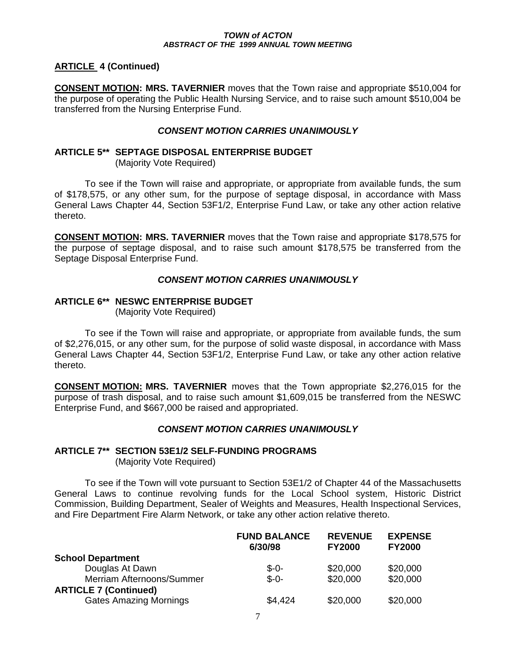## **ARTICLE 4 (Continued)**

**CONSENT MOTION: MRS. TAVERNIER** moves that the Town raise and appropriate \$510,004 for the purpose of operating the Public Health Nursing Service, and to raise such amount \$510,004 be transferred from the Nursing Enterprise Fund.

## *CONSENT MOTION CARRIES UNANIMOUSLY*

## **ARTICLE 5\*\* SEPTAGE DISPOSAL ENTERPRISE BUDGET**

(Majority Vote Required)

 To see if the Town will raise and appropriate, or appropriate from available funds, the sum of \$178,575, or any other sum, for the purpose of septage disposal, in accordance with Mass General Laws Chapter 44, Section 53F1/2, Enterprise Fund Law, or take any other action relative thereto.

**CONSENT MOTION: MRS. TAVERNIER** moves that the Town raise and appropriate \$178,575 for the purpose of septage disposal, and to raise such amount \$178,575 be transferred from the Septage Disposal Enterprise Fund.

## *CONSENT MOTION CARRIES UNANIMOUSLY*

## **ARTICLE 6\*\* NESWC ENTERPRISE BUDGET**

(Majority Vote Required)

 To see if the Town will raise and appropriate, or appropriate from available funds, the sum of \$2,276,015, or any other sum, for the purpose of solid waste disposal, in accordance with Mass General Laws Chapter 44, Section 53F1/2, Enterprise Fund Law, or take any other action relative thereto.

**CONSENT MOTION: MRS. TAVERNIER** moves that the Town appropriate \$2,276,015 for the purpose of trash disposal, and to raise such amount \$1,609,015 be transferred from the NESWC Enterprise Fund, and \$667,000 be raised and appropriated.

## *CONSENT MOTION CARRIES UNANIMOUSLY*

## **ARTICLE 7\*\* SECTION 53E1/2 SELF-FUNDING PROGRAMS**

(Majority Vote Required)

 To see if the Town will vote pursuant to Section 53E1/2 of Chapter 44 of the Massachusetts General Laws to continue revolving funds for the Local School system, Historic District Commission, Building Department, Sealer of Weights and Measures, Health Inspectional Services, and Fire Department Fire Alarm Network, or take any other action relative thereto.

|                               | <b>FUND BALANCE</b><br>6/30/98 | <b>REVENUE</b><br><b>FY2000</b> | <b>EXPENSE</b><br><b>FY2000</b> |
|-------------------------------|--------------------------------|---------------------------------|---------------------------------|
| <b>School Department</b>      |                                |                                 |                                 |
| Douglas At Dawn               | $$ -0-$                        | \$20,000                        | \$20,000                        |
| Merriam Afternoons/Summer     | $$ -0-$                        | \$20,000                        | \$20,000                        |
| <b>ARTICLE 7 (Continued)</b>  |                                |                                 |                                 |
| <b>Gates Amazing Mornings</b> | \$4,424                        | \$20,000                        | \$20,000                        |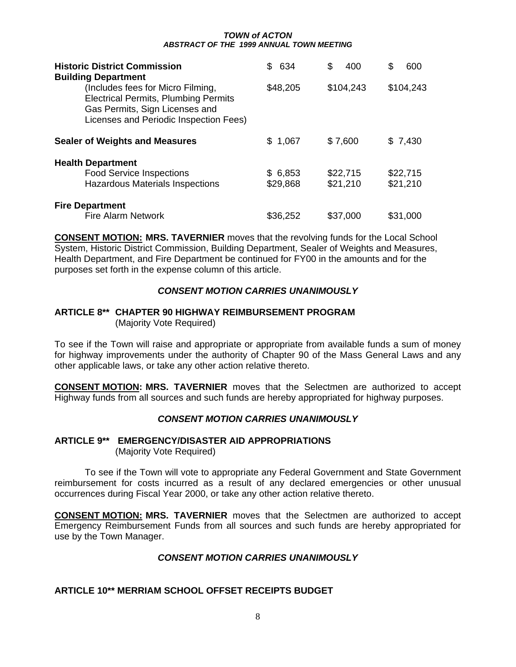| <b>Historic District Commission</b><br><b>Building Department</b>                                                                                            | S.<br>634           | S<br>400             | \$<br>600            |
|--------------------------------------------------------------------------------------------------------------------------------------------------------------|---------------------|----------------------|----------------------|
| (Includes fees for Micro Filming,<br><b>Electrical Permits, Plumbing Permits</b><br>Gas Permits, Sign Licenses and<br>Licenses and Periodic Inspection Fees) | \$48,205            | \$104,243            | \$104,243            |
| <b>Sealer of Weights and Measures</b>                                                                                                                        | \$1,067             | \$7,600              | \$7,430              |
| <b>Health Department</b><br><b>Food Service Inspections</b><br><b>Hazardous Materials Inspections</b>                                                        | \$6,853<br>\$29,868 | \$22,715<br>\$21,210 | \$22,715<br>\$21,210 |
| <b>Fire Department</b><br><b>Fire Alarm Network</b>                                                                                                          | \$36,252            | \$37,000             | \$31,000             |

**CONSENT MOTION: MRS. TAVERNIER** moves that the revolving funds for the Local School System, Historic District Commission, Building Department, Sealer of Weights and Measures, Health Department, and Fire Department be continued for FY00 in the amounts and for the purposes set forth in the expense column of this article.

## *CONSENT MOTION CARRIES UNANIMOUSLY*

#### **ARTICLE 8\*\* CHAPTER 90 HIGHWAY REIMBURSEMENT PROGRAM** (Majority Vote Required)

To see if the Town will raise and appropriate or appropriate from available funds a sum of money for highway improvements under the authority of Chapter 90 of the Mass General Laws and any other applicable laws, or take any other action relative thereto.

**CONSENT MOTION: MRS. TAVERNIER** moves that the Selectmen are authorized to accept Highway funds from all sources and such funds are hereby appropriated for highway purposes.

#### *CONSENT MOTION CARRIES UNANIMOUSLY*

## **ARTICLE 9\*\* EMERGENCY/DISASTER AID APPROPRIATIONS** (Majority Vote Required)

 To see if the Town will vote to appropriate any Federal Government and State Government reimbursement for costs incurred as a result of any declared emergencies or other unusual occurrences during Fiscal Year 2000, or take any other action relative thereto.

**CONSENT MOTION: MRS. TAVERNIER** moves that the Selectmen are authorized to accept Emergency Reimbursement Funds from all sources and such funds are hereby appropriated for use by the Town Manager.

## *CONSENT MOTION CARRIES UNANIMOUSLY*

## **ARTICLE 10\*\* MERRIAM SCHOOL OFFSET RECEIPTS BUDGET**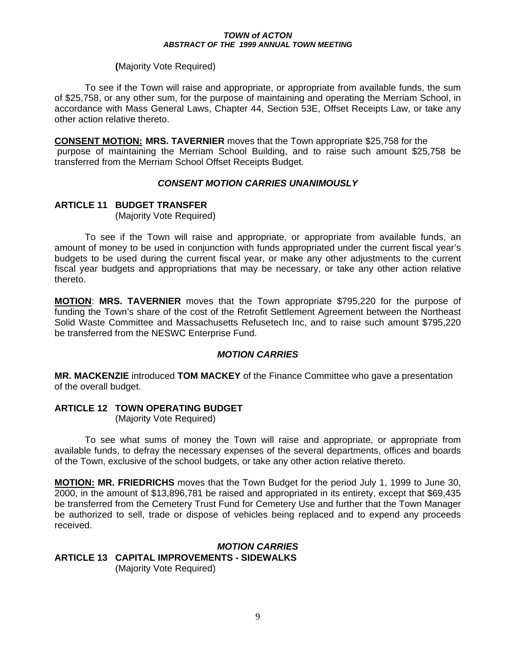#### **(**Majority Vote Required)

 To see if the Town will raise and appropriate, or appropriate from available funds, the sum of \$25,758, or any other sum, for the purpose of maintaining and operating the Merriam School, in accordance with Mass General Laws, Chapter 44, Section 53E, Offset Receipts Law, or take any other action relative thereto.

**CONSENT MOTION: MRS. TAVERNIER** moves that the Town appropriate \$25,758 for the purpose of maintaining the Merriam School Building, and to raise such amount \$25,758 be transferred from the Merriam School Offset Receipts Budget.

## *CONSENT MOTION CARRIES UNANIMOUSLY*

## **ARTICLE 11 BUDGET TRANSFER**

(Majority Vote Required)

 To see if the Town will raise and appropriate, or appropriate from available funds, an amount of money to be used in conjunction with funds appropriated under the current fiscal year's budgets to be used during the current fiscal year, or make any other adjustments to the current fiscal year budgets and appropriations that may be necessary, or take any other action relative thereto.

**MOTION**: **MRS. TAVERNIER** moves that the Town appropriate \$795,220 for the purpose of funding the Town's share of the cost of the Retrofit Settlement Agreement between the Northeast Solid Waste Committee and Massachusetts Refusetech Inc, and to raise such amount \$795,220 be transferred from the NESWC Enterprise Fund.

## *MOTION CARRIES*

**MR. MACKENZIE** introduced **TOM MACKEY** of the Finance Committee who gave a presentation of the overall budget.

## **ARTICLE 12 TOWN OPERATING BUDGET**

(Majority Vote Required)

 To see what sums of money the Town will raise and appropriate, or appropriate from available funds, to defray the necessary expenses of the several departments, offices and boards of the Town, exclusive of the school budgets, or take any other action relative thereto.

**MOTION: MR. FRIEDRICHS** moves that the Town Budget for the period July 1, 1999 to June 30, 2000, in the amount of \$13,896,781 be raised and appropriated in its entirety, except that \$69,435 be transferred from the Cemetery Trust Fund for Cemetery Use and further that the Town Manager be authorized to sell, trade or dispose of vehicles being replaced and to expend any proceeds received.

*MOTION CARRIES*  **ARTICLE 13 CAPITAL IMPROVEMENTS - SIDEWALKS**  (Majority Vote Required)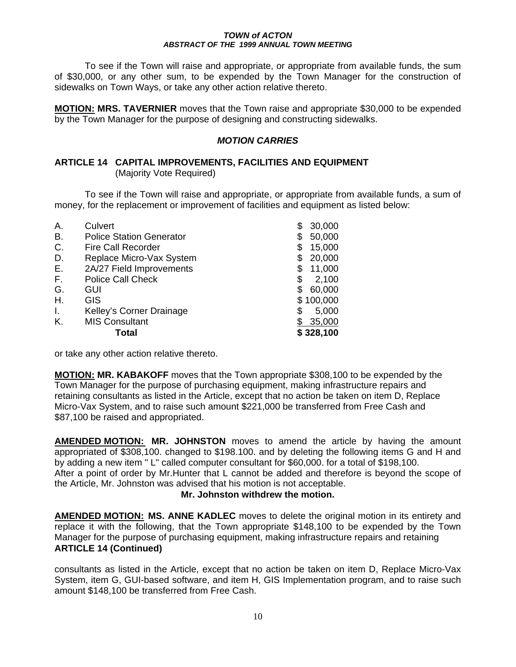To see if the Town will raise and appropriate, or appropriate from available funds, the sum of \$30,000, or any other sum, to be expended by the Town Manager for the construction of sidewalks on Town Ways, or take any other action relative thereto.

**MOTION: MRS. TAVERNIER** moves that the Town raise and appropriate \$30,000 to be expended by the Town Manager for the purpose of designing and constructing sidewalks.

#### *MOTION CARRIES*

#### **ARTICLE 14 CAPITAL IMPROVEMENTS, FACILITIES AND EQUIPMENT**  (Majority Vote Required)

 To see if the Town will raise and appropriate, or appropriate from available funds, a sum of money, for the replacement or improvement of facilities and equipment as listed below:

| Α. | Culvert                         | S  | 30,000    |
|----|---------------------------------|----|-----------|
| В. | <b>Police Station Generator</b> | S  | 50,000    |
| C. | <b>Fire Call Recorder</b>       | \$ | 15,000    |
| D. | Replace Micro-Vax System        | S  | 20,000    |
| Ε. | 2A/27 Field Improvements        | \$ | 11,000    |
| F. | <b>Police Call Check</b>        | \$ | 2,100     |
| G. | GUI                             |    | 60,000    |
| Η. | GIS                             |    | \$100,000 |
| I. | Kelley's Corner Drainage        | S  | 5,000     |
| Κ. | <b>MIS Consultant</b>           |    | 35,000    |
|    | Total                           |    | \$328,100 |

or take any other action relative thereto.

**MOTION: MR. KABAKOFF** moves that the Town appropriate \$308,100 to be expended by the Town Manager for the purpose of purchasing equipment, making infrastructure repairs and retaining consultants as listed in the Article, except that no action be taken on item D, Replace Micro-Vax System, and to raise such amount \$221,000 be transferred from Free Cash and \$87,100 be raised and appropriated.

**AMENDED MOTION: MR. JOHNSTON** moves to amend the article by having the amount appropriated of \$308,100. changed to \$198.100. and by deleting the following items G and H and by adding a new item " L" called computer consultant for \$60,000. for a total of \$198,100. After a point of order by Mr.Hunter that L cannot be added and therefore is beyond the scope of the Article, Mr. Johnston was advised that his motion is not acceptable.

#### **Mr. Johnston withdrew the motion.**

**AMENDED MOTION: MS. ANNE KADLEC** moves to delete the original motion in its entirety and replace it with the following, that the Town appropriate \$148,100 to be expended by the Town Manager for the purpose of purchasing equipment, making infrastructure repairs and retaining **ARTICLE 14 (Continued)** 

consultants as listed in the Article, except that no action be taken on item D, Replace Micro-Vax System, item G, GUI-based software, and item H, GIS Implementation program, and to raise such amount \$148,100 be transferred from Free Cash.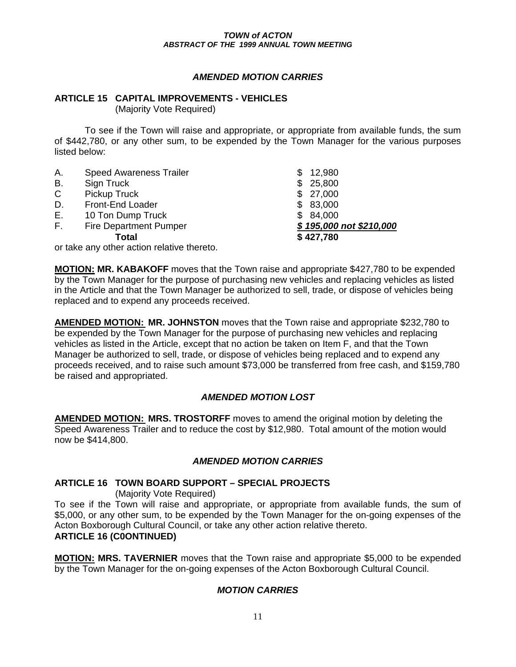#### *AMENDED MOTION CARRIES*

#### **ARTICLE 15 CAPITAL IMPROVEMENTS - VEHICLES**

(Majority Vote Required)

 To see if the Town will raise and appropriate, or appropriate from available funds, the sum of \$442,780, or any other sum, to be expended by the Town Manager for the various purposes listed below:

| Α.                                        | <b>Speed Awareness Trailer</b> | 12,980                  |
|-------------------------------------------|--------------------------------|-------------------------|
| В.                                        | Sign Truck                     | \$25,800                |
| $\mathsf{C}$                              | Pickup Truck                   | \$27,000                |
| D.                                        | Front-End Loader               | \$83,000                |
| Е.                                        | 10 Ton Dump Truck              | \$84,000                |
| E.                                        | <b>Fire Department Pumper</b>  | \$195,000 not \$210,000 |
|                                           | Total                          | \$427,780               |
| or take any other action relative thereto |                                |                         |

or take any other action relative thereto.

**MOTION: MR. KABAKOFF** moves that the Town raise and appropriate \$427,780 to be expended by the Town Manager for the purpose of purchasing new vehicles and replacing vehicles as listed in the Article and that the Town Manager be authorized to sell, trade, or dispose of vehicles being replaced and to expend any proceeds received.

**AMENDED MOTION: MR. JOHNSTON** moves that the Town raise and appropriate \$232,780 to be expended by the Town Manager for the purpose of purchasing new vehicles and replacing vehicles as listed in the Article, except that no action be taken on Item F, and that the Town Manager be authorized to sell, trade, or dispose of vehicles being replaced and to expend any proceeds received, and to raise such amount \$73,000 be transferred from free cash, and \$159,780 be raised and appropriated.

## *AMENDED MOTION LOST*

**AMENDED MOTION: MRS. TROSTORFF** moves to amend the original motion by deleting the Speed Awareness Trailer and to reduce the cost by \$12,980. Total amount of the motion would now be \$414,800.

## *AMENDED MOTION CARRIES*

## **ARTICLE 16 TOWN BOARD SUPPORT – SPECIAL PROJECTS**

(Majority Vote Required)

To see if the Town will raise and appropriate, or appropriate from available funds, the sum of \$5,000, or any other sum, to be expended by the Town Manager for the on-going expenses of the Acton Boxborough Cultural Council, or take any other action relative thereto.

#### **ARTICLE 16 (C0ONTINUED)**

**MOTION: MRS. TAVERNIER** moves that the Town raise and appropriate \$5,000 to be expended by the Town Manager for the on-going expenses of the Acton Boxborough Cultural Council.

## *MOTION CARRIES*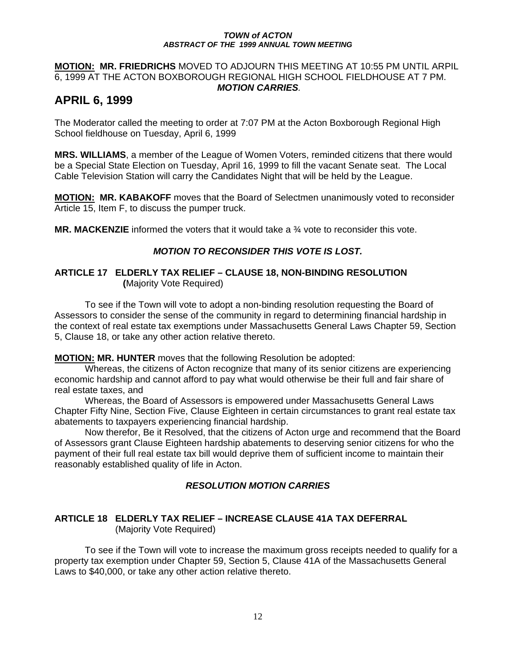#### **MOTION: MR. FRIEDRICHS** MOVED TO ADJOURN THIS MEETING AT 10:55 PM UNTIL ARPIL 6, 1999 AT THE ACTON BOXBOROUGH REGIONAL HIGH SCHOOL FIELDHOUSE AT 7 PM.  *MOTION CARRIES.*

# **APRIL 6, 1999**

The Moderator called the meeting to order at 7:07 PM at the Acton Boxborough Regional High School fieldhouse on Tuesday, April 6, 1999

**MRS. WILLIAMS**, a member of the League of Women Voters, reminded citizens that there would be a Special State Election on Tuesday, April 16, 1999 to fill the vacant Senate seat. The Local Cable Television Station will carry the Candidates Night that will be held by the League.

**MOTION: MR. KABAKOFF** moves that the Board of Selectmen unanimously voted to reconsider Article 15, Item F, to discuss the pumper truck.

**MR. MACKENZIE** informed the voters that it would take a <sup>3</sup>/<sub>4</sub> vote to reconsider this vote.

## *MOTION TO RECONSIDER THIS VOTE IS LOST.*

#### **ARTICLE 17 ELDERLY TAX RELIEF – CLAUSE 18, NON-BINDING RESOLUTION (**Majority Vote Required)

 To see if the Town will vote to adopt a non-binding resolution requesting the Board of Assessors to consider the sense of the community in regard to determining financial hardship in the context of real estate tax exemptions under Massachusetts General Laws Chapter 59, Section 5, Clause 18, or take any other action relative thereto.

**MOTION: MR. HUNTER** moves that the following Resolution be adopted:

 Whereas, the citizens of Acton recognize that many of its senior citizens are experiencing economic hardship and cannot afford to pay what would otherwise be their full and fair share of real estate taxes, and

 Whereas, the Board of Assessors is empowered under Massachusetts General Laws Chapter Fifty Nine, Section Five, Clause Eighteen in certain circumstances to grant real estate tax abatements to taxpayers experiencing financial hardship.

Now therefor, Be it Resolved, that the citizens of Acton urge and recommend that the Board of Assessors grant Clause Eighteen hardship abatements to deserving senior citizens for who the payment of their full real estate tax bill would deprive them of sufficient income to maintain their reasonably established quality of life in Acton.

## *RESOLUTION MOTION CARRIES*

## **ARTICLE 18 ELDERLY TAX RELIEF – INCREASE CLAUSE 41A TAX DEFERRAL** (Majority Vote Required)

 To see if the Town will vote to increase the maximum gross receipts needed to qualify for a property tax exemption under Chapter 59, Section 5, Clause 41A of the Massachusetts General Laws to \$40,000, or take any other action relative thereto.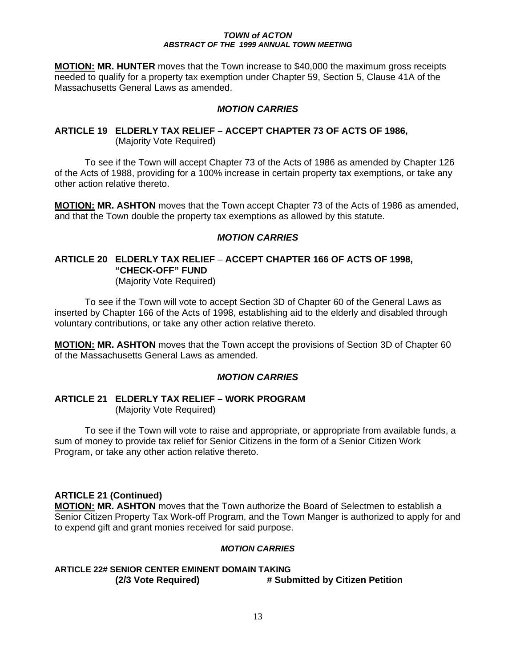**MOTION: MR. HUNTER** moves that the Town increase to \$40,000 the maximum gross receipts needed to qualify for a property tax exemption under Chapter 59, Section 5, Clause 41A of the Massachusetts General Laws as amended.

#### *MOTION CARRIES*

## **ARTICLE 19 ELDERLY TAX RELIEF – ACCEPT CHAPTER 73 OF ACTS OF 1986,** (Majority Vote Required)

 To see if the Town will accept Chapter 73 of the Acts of 1986 as amended by Chapter 126 of the Acts of 1988, providing for a 100% increase in certain property tax exemptions, or take any other action relative thereto.

**MOTION: MR. ASHTON** moves that the Town accept Chapter 73 of the Acts of 1986 as amended, and that the Town double the property tax exemptions as allowed by this statute.

#### *MOTION CARRIES*

# **ARTICLE 20 ELDERLY TAX RELIEF** – **ACCEPT CHAPTER 166 OF ACTS OF 1998, "CHECK-OFF" FUND**

(Majority Vote Required)

 To see if the Town will vote to accept Section 3D of Chapter 60 of the General Laws as inserted by Chapter 166 of the Acts of 1998, establishing aid to the elderly and disabled through voluntary contributions, or take any other action relative thereto.

**MOTION: MR. ASHTON** moves that the Town accept the provisions of Section 3D of Chapter 60 of the Massachusetts General Laws as amended.

## *MOTION CARRIES*

#### **ARTICLE 21 ELDERLY TAX RELIEF – WORK PROGRAM** (Majority Vote Required)

 To see if the Town will vote to raise and appropriate, or appropriate from available funds, a sum of money to provide tax relief for Senior Citizens in the form of a Senior Citizen Work Program, or take any other action relative thereto.

## **ARTICLE 21 (Continued)**

**MOTION: MR. ASHTON** moves that the Town authorize the Board of Selectmen to establish a Senior Citizen Property Tax Work-off Program, and the Town Manger is authorized to apply for and to expend gift and grant monies received for said purpose.

#### *MOTION CARRIES*

## **ARTICLE 22# SENIOR CENTER EMINENT DOMAIN TAKING (2/3 Vote Required) # Submitted by Citizen Petition**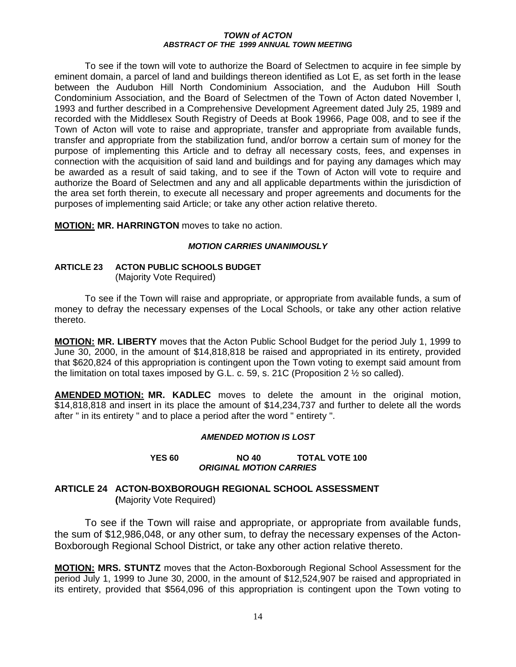To see if the town will vote to authorize the Board of Selectmen to acquire in fee simple by eminent domain, a parcel of land and buildings thereon identified as Lot E, as set forth in the lease between the Audubon Hill North Condominium Association, and the Audubon Hill South Condominium Association, and the Board of Selectmen of the Town of Acton dated November l, 1993 and further described in a Comprehensive Development Agreement dated July 25, 1989 and recorded with the Middlesex South Registry of Deeds at Book 19966, Page 008, and to see if the Town of Acton will vote to raise and appropriate, transfer and appropriate from available funds, transfer and appropriate from the stabilization fund, and/or borrow a certain sum of money for the purpose of implementing this Article and to defray all necessary costs, fees, and expenses in connection with the acquisition of said land and buildings and for paying any damages which may be awarded as a result of said taking, and to see if the Town of Acton will vote to require and authorize the Board of Selectmen and any and all applicable departments within the jurisdiction of the area set forth therein, to execute all necessary and proper agreements and documents for the purposes of implementing said Article; or take any other action relative thereto.

**MOTION: MR. HARRINGTON** moves to take no action.

#### *MOTION CARRIES UNANIMOUSLY*

#### **ARTICLE 23 ACTON PUBLIC SCHOOLS BUDGET** (Majority Vote Required)

 To see if the Town will raise and appropriate, or appropriate from available funds, a sum of money to defray the necessary expenses of the Local Schools, or take any other action relative thereto.

**MOTION: MR. LIBERTY** moves that the Acton Public School Budget for the period July 1, 1999 to June 30, 2000, in the amount of \$14,818,818 be raised and appropriated in its entirety, provided that \$620,824 of this appropriation is contingent upon the Town voting to exempt said amount from the limitation on total taxes imposed by G.L. c. 59, s. 21C (Proposition 2  $\frac{1}{2}$  so called).

**AMENDED MOTION: MR. KADLEC** moves to delete the amount in the original motion, \$14,818,818 and insert in its place the amount of \$14,234,737 and further to delete all the words after " in its entirety " and to place a period after the word " entirety ".

#### *AMENDED MOTION IS LOST*

#### **YES 60 NO 40 TOTAL VOTE 100** *ORIGINAL MOTION CARRIES*

## **ARTICLE 24 ACTON-BOXBOROUGH REGIONAL SCHOOL ASSESSMENT (**Majority Vote Required)

 To see if the Town will raise and appropriate, or appropriate from available funds, the sum of \$12,986,048, or any other sum, to defray the necessary expenses of the Acton-Boxborough Regional School District, or take any other action relative thereto.

**MOTION: MRS. STUNTZ** moves that the Acton-Boxborough Regional School Assessment for the period July 1, 1999 to June 30, 2000, in the amount of \$12,524,907 be raised and appropriated in its entirety, provided that \$564,096 of this appropriation is contingent upon the Town voting to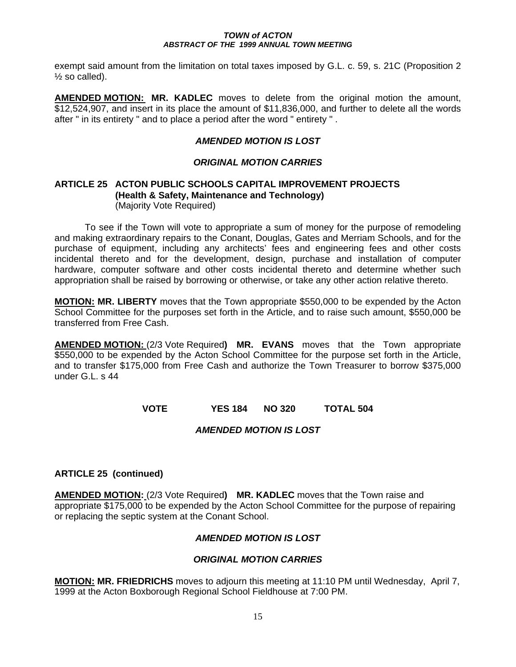exempt said amount from the limitation on total taxes imposed by G.L. c. 59, s. 21C (Proposition 2  $\frac{1}{2}$  so called).

**AMENDED MOTION: MR. KADLEC** moves to delete from the original motion the amount, \$12,524,907, and insert in its place the amount of \$11,836,000, and further to delete all the words after " in its entirety " and to place a period after the word " entirety " .

## *AMENDED MOTION IS LOST*

## *ORIGINAL MOTION CARRIES*

#### **ARTICLE 25 ACTON PUBLIC SCHOOLS CAPITAL IMPROVEMENT PROJECTS (Health & Safety, Maintenance and Technology)** (Majority Vote Required)

To see if the Town will vote to appropriate a sum of money for the purpose of remodeling and making extraordinary repairs to the Conant, Douglas, Gates and Merriam Schools, and for the purchase of equipment, including any architects' fees and engineering fees and other costs incidental thereto and for the development, design, purchase and installation of computer hardware, computer software and other costs incidental thereto and determine whether such appropriation shall be raised by borrowing or otherwise, or take any other action relative thereto.

**MOTION: MR. LIBERTY** moves that the Town appropriate \$550,000 to be expended by the Acton School Committee for the purposes set forth in the Article, and to raise such amount, \$550,000 be transferred from Free Cash.

**AMENDED MOTION:** (2/3 Vote Required**) MR. EVANS** moves that the Town appropriate \$550,000 to be expended by the Acton School Committee for the purpose set forth in the Article, and to transfer \$175,000 from Free Cash and authorize the Town Treasurer to borrow \$375,000 under G.L. s 44

**VOTE YES 184 NO 320 TOTAL 504** 

*AMENDED MOTION IS LOST* 

## **ARTICLE 25 (continued)**

**AMENDED MOTION:** (2/3 Vote Required**) MR. KADLEC** moves that the Town raise and appropriate \$175,000 to be expended by the Acton School Committee for the purpose of repairing or replacing the septic system at the Conant School.

## *AMENDED MOTION IS LOST*

## *ORIGINAL MOTION CARRIES*

**MOTION: MR. FRIEDRICHS** moves to adjourn this meeting at 11:10 PM until Wednesday, April 7, 1999 at the Acton Boxborough Regional School Fieldhouse at 7:00 PM.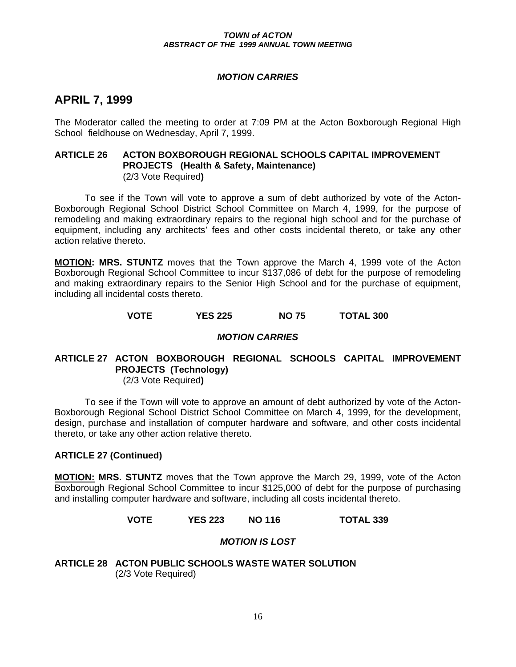#### *MOTION CARRIES*

# **APRIL 7, 1999**

The Moderator called the meeting to order at 7:09 PM at the Acton Boxborough Regional High School fieldhouse on Wednesday, April 7, 1999.

#### **ARTICLE 26 ACTON BOXBOROUGH REGIONAL SCHOOLS CAPITAL IMPROVEMENT PROJECTS (Health & Safety, Maintenance)** (2/3 Vote Required**)**

To see if the Town will vote to approve a sum of debt authorized by vote of the Acton-Boxborough Regional School District School Committee on March 4, 1999, for the purpose of remodeling and making extraordinary repairs to the regional high school and for the purchase of equipment, including any architects' fees and other costs incidental thereto, or take any other action relative thereto.

**MOTION: MRS. STUNTZ** moves that the Town approve the March 4, 1999 vote of the Acton Boxborough Regional School Committee to incur \$137,086 of debt for the purpose of remodeling and making extraordinary repairs to the Senior High School and for the purchase of equipment, including all incidental costs thereto.

**VOTE YES 225 NO 75 TOTAL 300** 

#### *MOTION CARRIES*

# **ARTICLE 27 ACTON BOXBOROUGH REGIONAL SCHOOLS CAPITAL IMPROVEMENT PROJECTS (Technology)**

(2/3 Vote Required**)** 

To see if the Town will vote to approve an amount of debt authorized by vote of the Acton-Boxborough Regional School District School Committee on March 4, 1999, for the development, design, purchase and installation of computer hardware and software, and other costs incidental thereto, or take any other action relative thereto.

#### **ARTICLE 27 (Continued)**

**MOTION: MRS. STUNTZ** moves that the Town approve the March 29, 1999, vote of the Acton Boxborough Regional School Committee to incur \$125,000 of debt for the purpose of purchasing and installing computer hardware and software, including all costs incidental thereto.

#### **VOTE YES 223 NO 116 TOTAL 339**

## *MOTION IS LOST*

**ARTICLE 28 ACTON PUBLIC SCHOOLS WASTE WATER SOLUTION**  (2/3 Vote Required)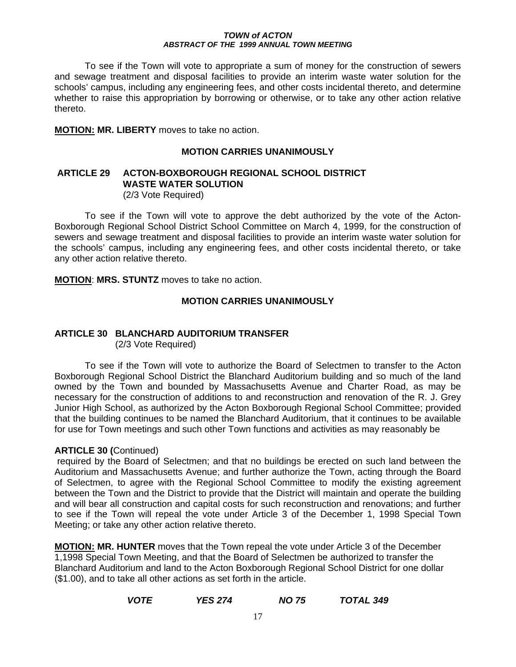To see if the Town will vote to appropriate a sum of money for the construction of sewers and sewage treatment and disposal facilities to provide an interim waste water solution for the schools' campus, including any engineering fees, and other costs incidental thereto, and determine whether to raise this appropriation by borrowing or otherwise, or to take any other action relative thereto.

**MOTION: MR. LIBERTY** moves to take no action.

#### **MOTION CARRIES UNANIMOUSLY**

# **ARTICLE 29 ACTON-BOXBOROUGH REGIONAL SCHOOL DISTRICT WASTE WATER SOLUTION**

(2/3 Vote Required)

 To see if the Town will vote to approve the debt authorized by the vote of the Acton-Boxborough Regional School District School Committee on March 4, 1999, for the construction of sewers and sewage treatment and disposal facilities to provide an interim waste water solution for the schools' campus, including any engineering fees, and other costs incidental thereto, or take any other action relative thereto.

**MOTION**: **MRS. STUNTZ** moves to take no action.

## **MOTION CARRIES UNANIMOUSLY**

# **ARTICLE 30 BLANCHARD AUDITORIUM TRANSFER**

(2/3 Vote Required)

To see if the Town will vote to authorize the Board of Selectmen to transfer to the Acton Boxborough Regional School District the Blanchard Auditorium building and so much of the land owned by the Town and bounded by Massachusetts Avenue and Charter Road, as may be necessary for the construction of additions to and reconstruction and renovation of the R. J. Grey Junior High School, as authorized by the Acton Boxborough Regional School Committee; provided that the building continues to be named the Blanchard Auditorium, that it continues to be available for use for Town meetings and such other Town functions and activities as may reasonably be

## **ARTICLE 30 (**Continued)

 required by the Board of Selectmen; and that no buildings be erected on such land between the Auditorium and Massachusetts Avenue; and further authorize the Town, acting through the Board of Selectmen, to agree with the Regional School Committee to modify the existing agreement between the Town and the District to provide that the District will maintain and operate the building and will bear all construction and capital costs for such reconstruction and renovations; and further to see if the Town will repeal the vote under Article 3 of the December 1, 1998 Special Town Meeting; or take any other action relative thereto.

**MOTION: MR. HUNTER** moves that the Town repeal the vote under Article 3 of the December 1,1998 Special Town Meeting, and that the Board of Selectmen be authorized to transfer the Blanchard Auditorium and land to the Acton Boxborough Regional School District for one dollar (\$1.00), and to take all other actions as set forth in the article.

## *VOTE YES 274 NO 75 TOTAL 349*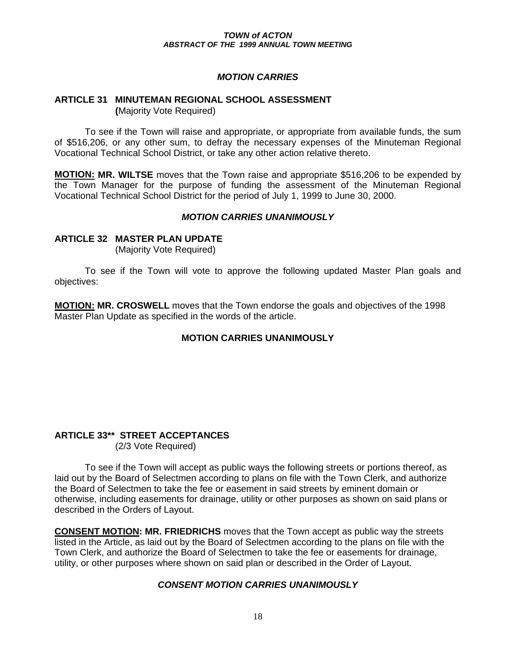## *MOTION CARRIES*

#### **ARTICLE 31 MINUTEMAN REGIONAL SCHOOL ASSESSMENT (**Majority Vote Required)

 To see if the Town will raise and appropriate, or appropriate from available funds, the sum of \$516,206, or any other sum, to defray the necessary expenses of the Minuteman Regional Vocational Technical School District, or take any other action relative thereto.

**MOTION: MR. WILTSE** moves that the Town raise and appropriate \$516,206 to be expended by the Town Manager for the purpose of funding the assessment of the Minuteman Regional Vocational Technical School District for the period of July 1, 1999 to June 30, 2000.

#### *MOTION CARRIES UNANIMOUSLY*

#### **ARTICLE 32 MASTER PLAN UPDATE**

(Majority Vote Required)

To see if the Town will vote to approve the following updated Master Plan goals and objectives:

**MOTION: MR. CROSWELL** moves that the Town endorse the goals and objectives of the 1998 Master Plan Update as specified in the words of the article.

#### **MOTION CARRIES UNANIMOUSLY**

#### **ARTICLE 33\*\* STREET ACCEPTANCES** (2/3 Vote Required)

 To see if the Town will accept as public ways the following streets or portions thereof, as laid out by the Board of Selectmen according to plans on file with the Town Clerk, and authorize the Board of Selectmen to take the fee or easement in said streets by eminent domain or otherwise, including easements for drainage, utility or other purposes as shown on said plans or described in the Orders of Layout.

**CONSENT MOTION: MR. FRIEDRICHS** moves that the Town accept as public way the streets listed in the Article, as laid out by the Board of Selectmen according to the plans on file with the Town Clerk, and authorize the Board of Selectmen to take the fee or easements for drainage, utility, or other purposes where shown on said plan or described in the Order of Layout.

#### *CONSENT MOTION CARRIES UNANIMOUSLY*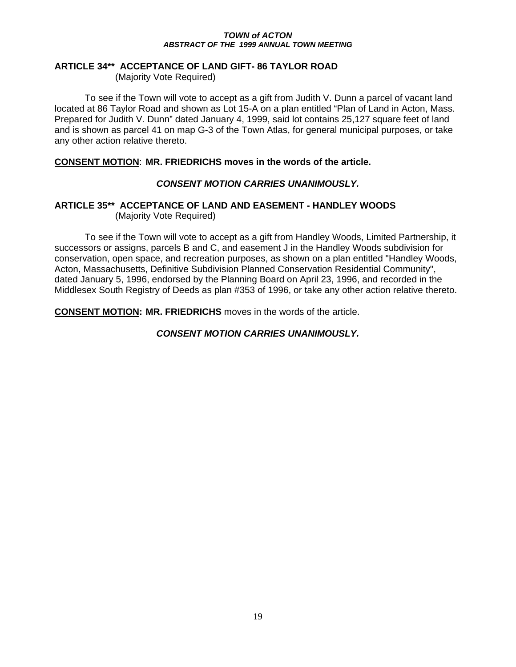## **ARTICLE 34\*\* ACCEPTANCE OF LAND GIFT- 86 TAYLOR ROAD**

(Majority Vote Required)

 To see if the Town will vote to accept as a gift from Judith V. Dunn a parcel of vacant land located at 86 Taylor Road and shown as Lot 15-A on a plan entitled "Plan of Land in Acton, Mass. Prepared for Judith V. Dunn" dated January 4, 1999, said lot contains 25,127 square feet of land and is shown as parcel 41 on map G-3 of the Town Atlas, for general municipal purposes, or take any other action relative thereto.

## **CONSENT MOTION**: **MR. FRIEDRICHS moves in the words of the article.**

## *CONSENT MOTION CARRIES UNANIMOUSLY.*

#### **ARTICLE 35\*\* ACCEPTANCE OF LAND AND EASEMENT - HANDLEY WOODS** (Majority Vote Required)

 To see if the Town will vote to accept as a gift from Handley Woods, Limited Partnership, it successors or assigns, parcels B and C, and easement J in the Handley Woods subdivision for conservation, open space, and recreation purposes, as shown on a plan entitled "Handley Woods, Acton, Massachusetts, Definitive Subdivision Planned Conservation Residential Community", dated January 5, 1996, endorsed by the Planning Board on April 23, 1996, and recorded in the Middlesex South Registry of Deeds as plan #353 of 1996, or take any other action relative thereto.

**CONSENT MOTION: MR. FRIEDRICHS** moves in the words of the article.

## *CONSENT MOTION CARRIES UNANIMOUSLY.*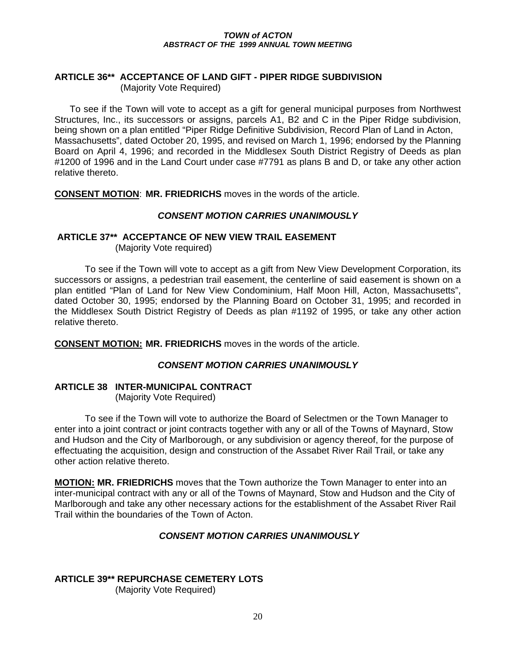#### **ARTICLE 36\*\* ACCEPTANCE OF LAND GIFT - PIPER RIDGE SUBDIVISION**  (Majority Vote Required)

To see if the Town will vote to accept as a gift for general municipal purposes from Northwest Structures, Inc., its successors or assigns, parcels A1, B2 and C in the Piper Ridge subdivision, being shown on a plan entitled "Piper Ridge Definitive Subdivision, Record Plan of Land in Acton, Massachusetts", dated October 20, 1995, and revised on March 1, 1996; endorsed by the Planning Board on April 4, 1996; and recorded in the Middlesex South District Registry of Deeds as plan #1200 of 1996 and in the Land Court under case #7791 as plans B and D, or take any other action relative thereto.

**CONSENT MOTION**: **MR. FRIEDRICHS** moves in the words of the article.

#### *CONSENT MOTION CARRIES UNANIMOUSLY*

#### **ARTICLE 37\*\* ACCEPTANCE OF NEW VIEW TRAIL EASEMENT**

(Majority Vote required)

To see if the Town will vote to accept as a gift from New View Development Corporation, its successors or assigns, a pedestrian trail easement, the centerline of said easement is shown on a plan entitled "Plan of Land for New View Condominium, Half Moon Hill, Acton, Massachusetts", dated October 30, 1995; endorsed by the Planning Board on October 31, 1995; and recorded in the Middlesex South District Registry of Deeds as plan #1192 of 1995, or take any other action relative thereto.

**CONSENT MOTION: MR. FRIEDRICHS** moves in the words of the article.

## *CONSENT MOTION CARRIES UNANIMOUSLY*

# **ARTICLE 38 INTER-MUNICIPAL CONTRACT**

(Majority Vote Required)

To see if the Town will vote to authorize the Board of Selectmen or the Town Manager to enter into a joint contract or joint contracts together with any or all of the Towns of Maynard, Stow and Hudson and the City of Marlborough, or any subdivision or agency thereof, for the purpose of effectuating the acquisition, design and construction of the Assabet River Rail Trail, or take any other action relative thereto.

**MOTION: MR. FRIEDRICHS** moves that the Town authorize the Town Manager to enter into an inter-municipal contract with any or all of the Towns of Maynard, Stow and Hudson and the City of Marlborough and take any other necessary actions for the establishment of the Assabet River Rail Trail within the boundaries of the Town of Acton.

## *CONSENT MOTION CARRIES UNANIMOUSLY*

# **ARTICLE 39\*\* REPURCHASE CEMETERY LOTS**

(Majority Vote Required)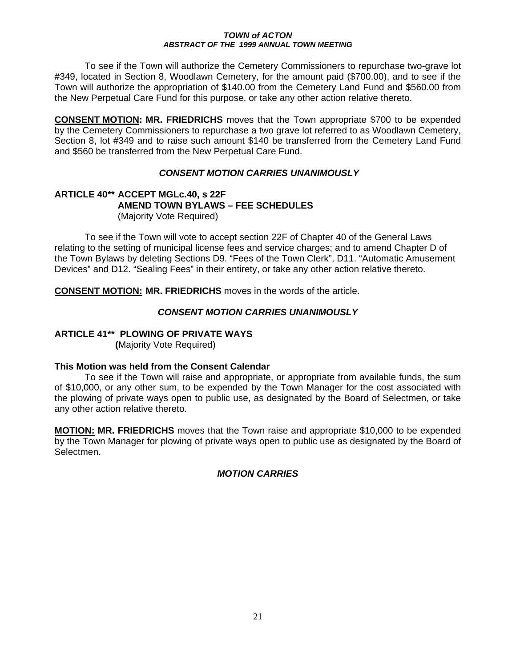To see if the Town will authorize the Cemetery Commissioners to repurchase two-grave lot #349, located in Section 8, Woodlawn Cemetery, for the amount paid (\$700.00), and to see if the Town will authorize the appropriation of \$140.00 from the Cemetery Land Fund and \$560.00 from the New Perpetual Care Fund for this purpose, or take any other action relative thereto.

**CONSENT MOTION: MR. FRIEDRICHS** moves that the Town appropriate \$700 to be expended by the Cemetery Commissioners to repurchase a two grave lot referred to as Woodlawn Cemetery, Section 8, lot #349 and to raise such amount \$140 be transferred from the Cemetery Land Fund and \$560 be transferred from the New Perpetual Care Fund.

## *CONSENT MOTION CARRIES UNANIMOUSLY*

#### **ARTICLE 40\*\* ACCEPT MGLc.40, s 22F AMEND TOWN BYLAWS – FEE SCHEDULES**  (Majority Vote Required)

To see if the Town will vote to accept section 22F of Chapter 40 of the General Laws relating to the setting of municipal license fees and service charges; and to amend Chapter D of the Town Bylaws by deleting Sections D9. "Fees of the Town Clerk", D11. "Automatic Amusement Devices" and D12. "Sealing Fees" in their entirety, or take any other action relative thereto.

**CONSENT MOTION: MR. FRIEDRICHS** moves in the words of the article.

## *CONSENT MOTION CARRIES UNANIMOUSLY*

# **ARTICLE 41\*\* PLOWING OF PRIVATE WAYS**

 **(**Majority Vote Required)

#### **This Motion was held from the Consent Calendar**

 To see if the Town will raise and appropriate, or appropriate from available funds, the sum of \$10,000, or any other sum, to be expended by the Town Manager for the cost associated with the plowing of private ways open to public use, as designated by the Board of Selectmen, or take any other action relative thereto.

**MOTION: MR. FRIEDRICHS** moves that the Town raise and appropriate \$10,000 to be expended by the Town Manager for plowing of private ways open to public use as designated by the Board of Selectmen.

## *MOTION CARRIES*